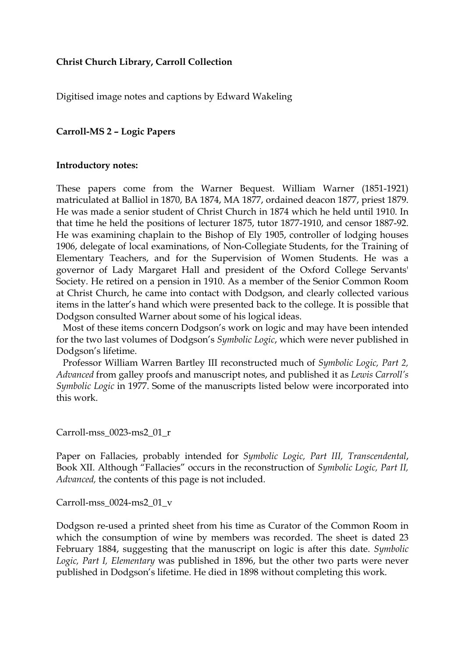## **Christ Church Library, Carroll Collection**

Digitised image notes and captions by Edward Wakeling

## **Carroll-MS 2 – Logic Papers**

## **Introductory notes:**

These papers come from the Warner Bequest. William Warner (1851-1921) matriculated at Balliol in 1870, BA 1874, MA 1877, ordained deacon 1877, priest 1879. He was made a senior student of Christ Church in 1874 which he held until 1910. In that time he held the positions of lecturer 1875, tutor 1877-1910, and censor 1887-92. He was examining chaplain to the Bishop of Ely 1905, controller of lodging houses 1906, delegate of local examinations, of Non-Collegiate Students, for the Training of Elementary Teachers, and for the Supervision of Women Students. He was a governor of Lady Margaret Hall and president of the Oxford College Servants' Society. He retired on a pension in 1910. As a member of the Senior Common Room at Christ Church, he came into contact with Dodgson, and clearly collected various items in the latter's hand which were presented back to the college. It is possible that Dodgson consulted Warner about some of his logical ideas.

 Most of these items concern Dodgson's work on logic and may have been intended for the two last volumes of Dodgson's *Symbolic Logic*, which were never published in Dodgson's lifetime.

 Professor William Warren Bartley III reconstructed much of *Symbolic Logic, Part 2, Advanced* from galley proofs and manuscript notes, and published it as *Lewis Carroll's Symbolic Logic* in 1977. Some of the manuscripts listed below were incorporated into this work.

## Carroll-mss\_0023-ms2\_01\_r

Paper on Fallacies, probably intended for *Symbolic Logic, Part III, Transcendental*, Book XII. Although "Fallacies" occurs in the reconstruction of *Symbolic Logic, Part II, Advanced,* the contents of this page is not included.

Carroll-mss\_0024-ms2\_01\_v

Dodgson re-used a printed sheet from his time as Curator of the Common Room in which the consumption of wine by members was recorded. The sheet is dated 23 February 1884, suggesting that the manuscript on logic is after this date. *Symbolic Logic, Part I, Elementary* was published in 1896, but the other two parts were never published in Dodgson's lifetime. He died in 1898 without completing this work.